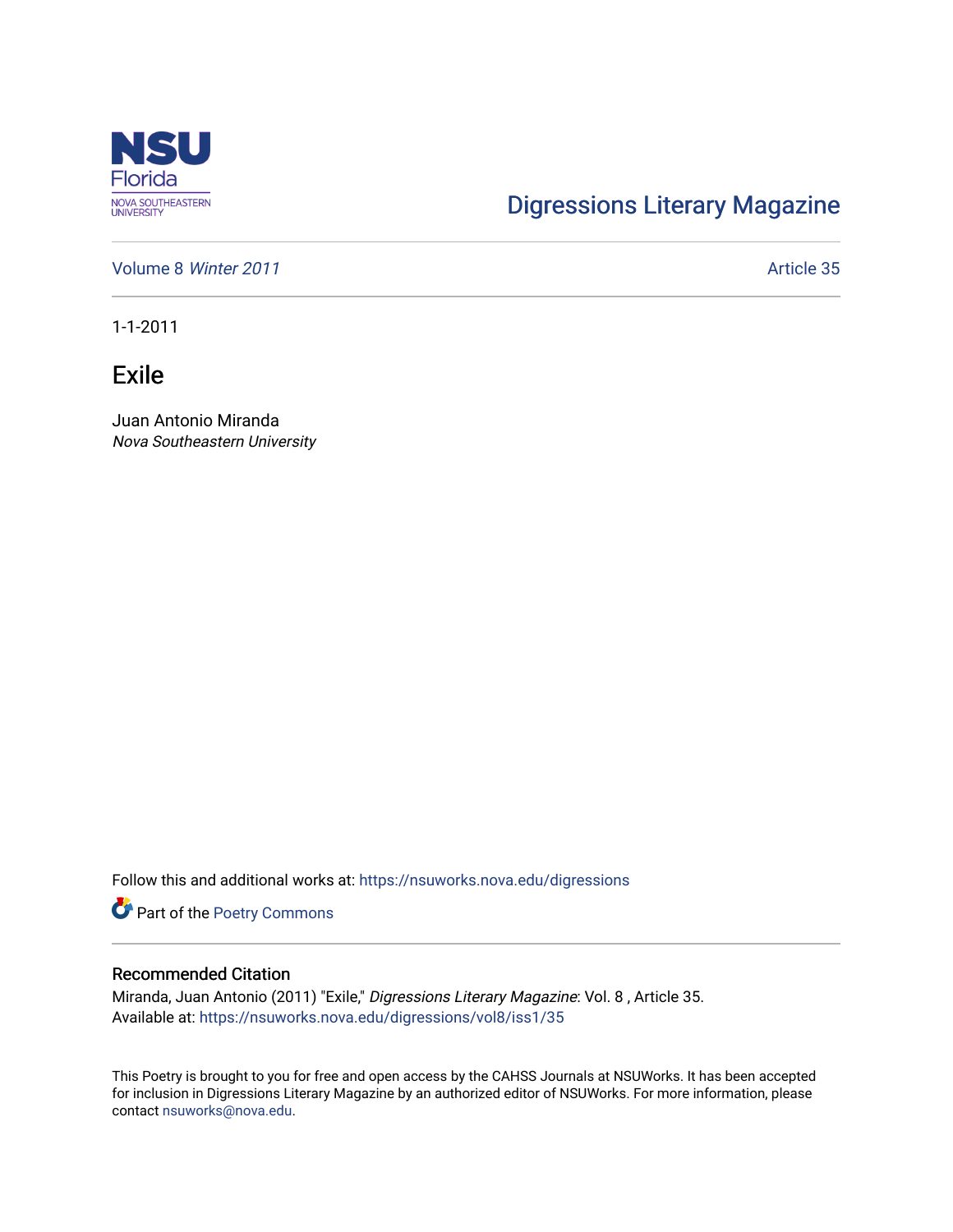

## [Digressions Literary Magazine](https://nsuworks.nova.edu/digressions)

[Volume 8](https://nsuworks.nova.edu/digressions/vol8) Winter 2011 **Article 35** Article 35

1-1-2011

Exile

Juan Antonio Miranda Nova Southeastern University

Follow this and additional works at: [https://nsuworks.nova.edu/digressions](https://nsuworks.nova.edu/digressions?utm_source=nsuworks.nova.edu%2Fdigressions%2Fvol8%2Fiss1%2F35&utm_medium=PDF&utm_campaign=PDFCoverPages) 

Part of the [Poetry Commons](http://network.bepress.com/hgg/discipline/1153?utm_source=nsuworks.nova.edu%2Fdigressions%2Fvol8%2Fiss1%2F35&utm_medium=PDF&utm_campaign=PDFCoverPages) 

## Recommended Citation

Miranda, Juan Antonio (2011) "Exile," Digressions Literary Magazine: Vol. 8 , Article 35. Available at: [https://nsuworks.nova.edu/digressions/vol8/iss1/35](https://nsuworks.nova.edu/digressions/vol8/iss1/35?utm_source=nsuworks.nova.edu%2Fdigressions%2Fvol8%2Fiss1%2F35&utm_medium=PDF&utm_campaign=PDFCoverPages) 

This Poetry is brought to you for free and open access by the CAHSS Journals at NSUWorks. It has been accepted for inclusion in Digressions Literary Magazine by an authorized editor of NSUWorks. For more information, please contact [nsuworks@nova.edu.](mailto:nsuworks@nova.edu)